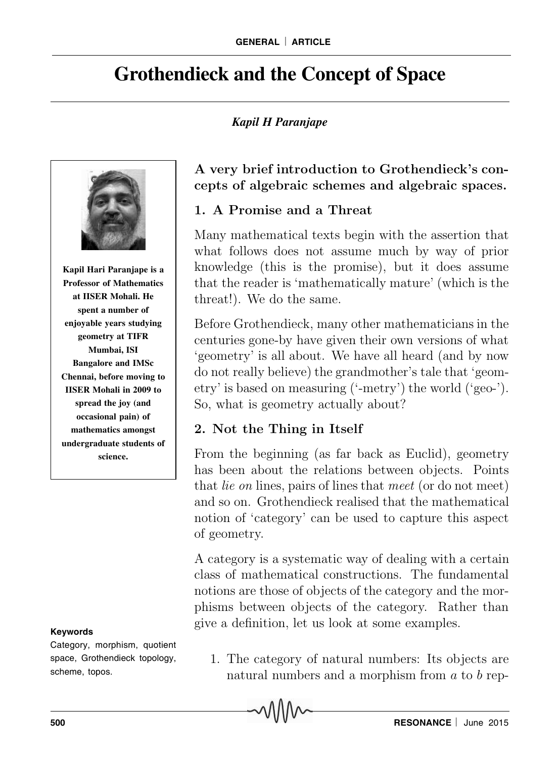# **Grothendieck and the Concept of Space**

# *Kapil H Paranjape*



**Kapil Hari Paranjape is a Professor of Mathematics at IISER Mohali. He spent a number of enjoyable years studying geometry at TIFR Mumbai, ISI Bangalore and IMSc Chennai, before moving to IISER Mohali in 2009 to spread the joy (and occasional pain) of mathematics amongst undergraduate students of science.**

#### **Keywords**

Category, morphism, quotient space, Grothendieck topology, scheme, topos.

A very brief introduction to Grothendieck's concepts of algebraic schemes and algebraic spaces.

## 1. A Promise and a Threat

Many mathematical texts begin with the assertion that what follows does not assume much by way of prior knowledge (this is the promise), but it does assume that the reader is 'mathematically mature' (which is the threat!). We do the same.

Before Grothendieck, many other mathematicians in the centuries gone-by have given their own versions of what 'geometry' is all about. We have all heard (and by now do not really believe) the grandmother's tale that 'geometry' is based on measuring ('-metry') the world ('geo-'). So, what is geometry actually about?

# 2. Not the Thing in Itself

From the beginning (as far back as Euclid), geometry has been about the relations between objects. Points that lie on lines, pairs of lines that meet (or do not meet) and so on. Grothendieck realised that the mathematical notion of 'category' can be used to capture this aspect of geometry.

A category is a systematic way of dealing with a certain class of mathematical constructions. The fundamental notions are those of objects of the category and the morphisms between objects of the category. Rather than give a definition, let us look at some examples.

1. The category of natural numbers: Its objects are natural numbers and a morphism from  $a$  to  $b$  rep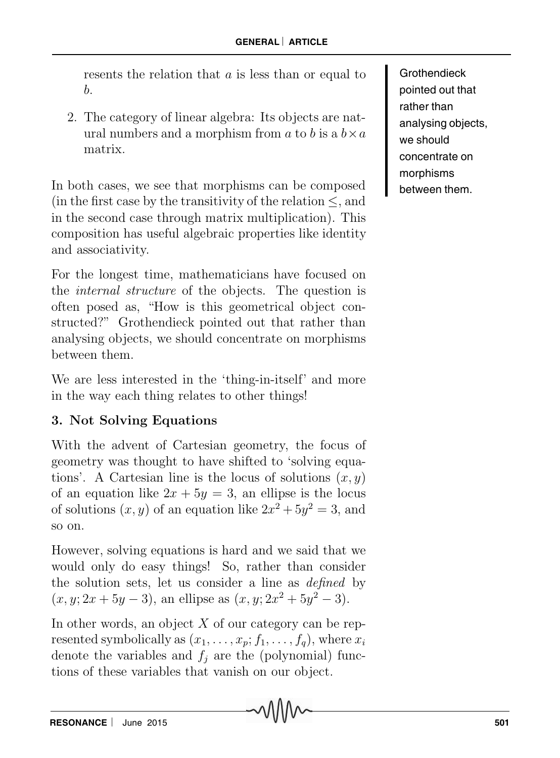resents the relation that a is less than or equal to b.

2. The category of linear algebra: Its objects are natural numbers and a morphism from a to b is a  $b \times a$ matrix.

In both cases, we see that morphisms can be composed (in the first case by the transitivity of the relation  $\leq$ , and in the second case through matrix multiplication). This composition has useful algebraic properties like identity and associativity.

For the longest time, mathematicians have focused on the internal structure of the objects. The question is often posed as, "How is this geometrical object constructed?" Grothendieck pointed out that rather than analysing objects, we should concentrate on morphisms between them.

We are less interested in the 'thing-in-itself' and more in the way each thing relates to other things!

# 3. Not Solving Equations

With the advent of Cartesian geometry, the focus of geometry was thought to have shifted to 'solving equations'. A Cartesian line is the locus of solutions  $(x, y)$ of an equation like  $2x + 5y = 3$ , an ellipse is the locus of solutions  $(x, y)$  of an equation like  $2x^2 + 5y^2 = 3$ , and so on.

However, solving equations is hard and we said that we would only do easy things! So, rather than consider the solution sets, let us consider a line as defined by  $(x, y; 2x + 5y - 3)$ , an ellipse as  $(x, y; 2x^2 + 5y^2 - 3)$ .

In other words, an object  $X$  of our category can be represented symbolically as  $(x_1, \ldots, x_p; f_1, \ldots, f_q)$ , where  $x_i$ denote the variables and  $f_j$  are the (polynomial) functions of these variables that vanish on our object.

**Grothendieck** pointed out that rather than analysing objects, we should concentrate on morphisms between them.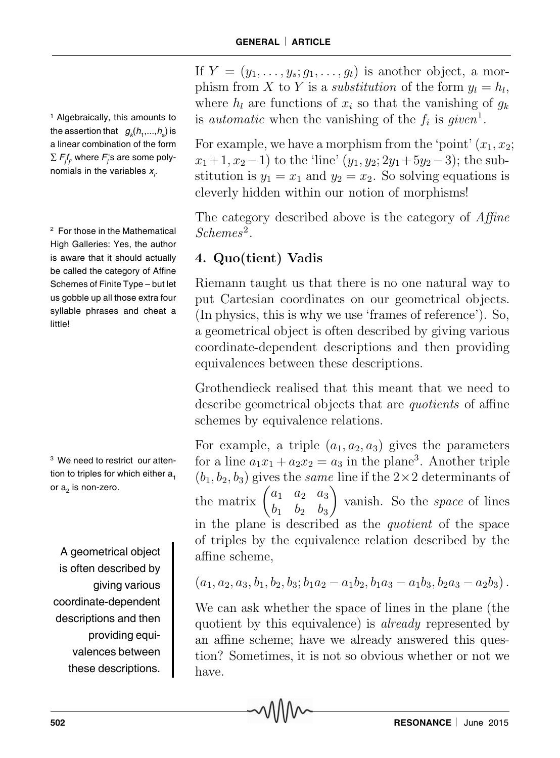1 Algebraically, this amounts to the assertion that  $\;{\it g}_{{\it k}}\!(h_{\rm 1},\!...,h_{\rm s})$  is a linear combination of the form  $\Sigma$   $\mathsf{F}_{\!f\!f\!r}$  where  $\mathsf{F}_{\!f}^{\prime}$ s are some polynomials in the variables  $x_{\scriptscriptstyle\mathit{l}}$ .

2 For those in the Mathematical High Galleries: Yes, the author is aware that it should actually be called the category of Affine Schemes of Finite Type – but let us gobble up all those extra four syllable phrases and cheat a little!

<sup>3</sup> We need to restrict our attention to triples for which either a, or a<sub>2</sub> is non-zero.

A geometrical object is often described by giving various coordinate-dependent descriptions and then providing equivalences between these descriptions.

If  $Y = (y_1, \ldots, y_s; g_1, \ldots, g_t)$  is another object, a morphism from X to Y is a *substitution* of the form  $y_l = h_l$ , where  $h_l$  are functions of  $x_i$  so that the vanishing of  $g_k$ is *automatic* when the vanishing of the  $f_i$  is given<sup>1</sup>.

For example, we have a morphism from the 'point'  $(x_1, x_2;$  $x_1+1, x_2-1$ ) to the 'line'  $(y_1, y_2; 2y_1+5y_2-3)$ ; the substitution is  $y_1 = x_1$  and  $y_2 = x_2$ . So solving equations is cleverly hidden within our notion of morphisms!

The category described above is the category of *Affine*  $Schemes<sup>2</sup>.$ 

# 4. Quo(tient) Vadis

Riemann taught us that there is no one natural way to put Cartesian coordinates on our geometrical objects. (In physics, this is why we use 'frames of reference'). So, a geometrical object is often described by giving various coordinate-dependent descriptions and then providing equivalences between these descriptions.

Grothendieck realised that this meant that we need to describe geometrical objects that are quotients of affine schemes by equivalence relations.

For example, a triple  $(a_1, a_2, a_3)$  gives the parameters for a line  $a_1x_1 + a_2x_2 = a_3$  in the plane<sup>3</sup>. Another triple  $(b_1, b_2, b_3)$  gives the same line if the  $2 \times 2$  determinants of the matrix  $\begin{pmatrix} a_1 & a_2 & a_3 \\ b & b & b \end{pmatrix}$  $b_1$   $b_2$   $b_3$  $\setminus$ vanish. So the space of lines in the plane is described as the quotient of the space of triples by the equivalence relation described by the affine scheme,

$$
(a_1, a_2, a_3, b_1, b_2, b_3; b_1a_2-a_1b_2, b_1a_3-a_1b_3, b_2a_3-a_2b_3).
$$

We can ask whether the space of lines in the plane (the quotient by this equivalence) is already represented by an affine scheme; have we already answered this question? Sometimes, it is not so obvious whether or not we have.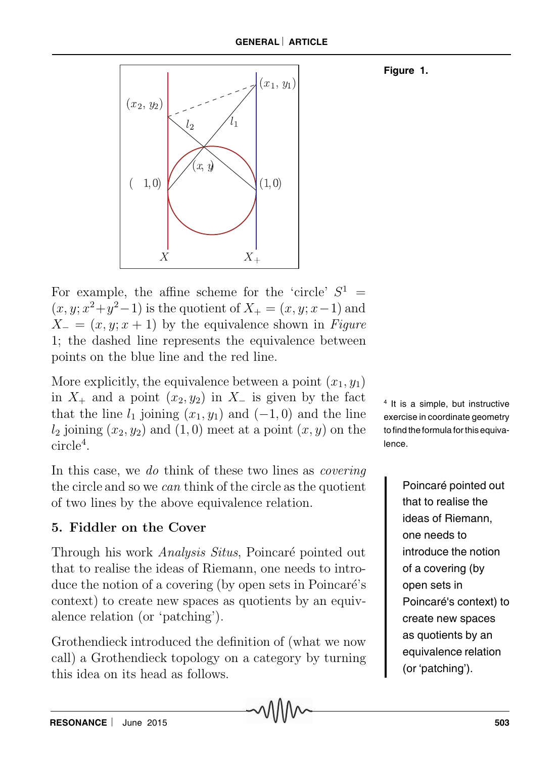



For example, the affine scheme for the 'circle'  $S^1$  =  $(x, y; x^2+y^2-1)$  is the quotient of  $X_+ = (x, y; x-1)$  and  $X_ = (x, y; x + 1)$  by the equivalence shown in Figure 1; the dashed line represents the equivalence between points on the blue line and the red line.

More explicitly, the equivalence between a point  $(x_1, y_1)$ in  $X_+$  and a point  $(x_2, y_2)$  in  $X_-\$  is given by the fact that the line  $l_1$  joining  $(x_1, y_1)$  and  $(-1, 0)$  and the line  $l_2$  joining  $(x_2, y_2)$  and  $(1, 0)$  meet at a point  $(x, y)$  on the circle<sup>4</sup> .

In this case, we do think of these two lines as *covering* the circle and so we can think of the circle as the quotient of two lines by the above equivalence relation.

# 5. Fiddler on the Cover

Through his work *Analysis Situs*, Poincaré pointed out that to realise the ideas of Riemann, one needs to introduce the notion of a covering (by open sets in Poincaré's context) to create new spaces as quotients by an equivalence relation (or 'patching').

Grothendieck introduced the definition of (what we now call) a Grothendieck topology on a category by turning this idea on its head as follows.

4 It is a simple, but instructive exercise in coordinate geometry to find the formula for this equivalence.

> Poincaré pointed out that to realise the ideas of Riemann, one needs to introduce the notion of a covering (by open sets in Poincaré's context) to create new spaces as quotients by an equivalence relation (or 'patching').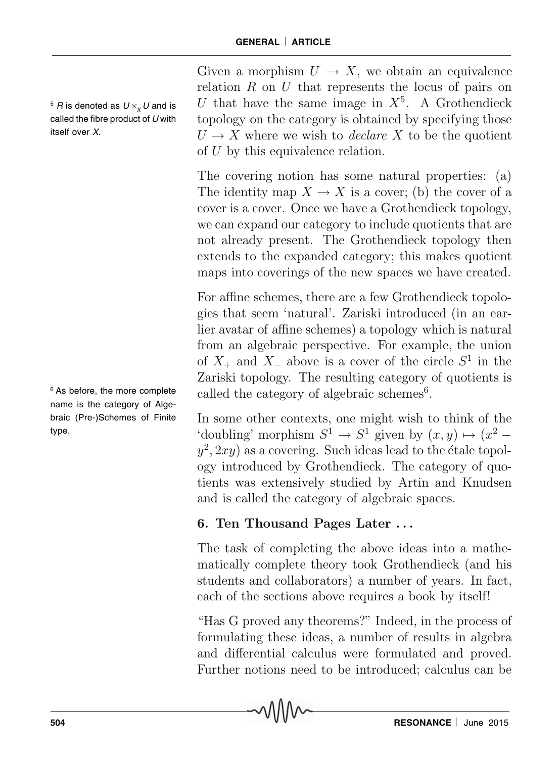$5$  R is denoted as  $U \times_{\chi} U$  and is called the fibre product of  $U$  with itself over X.

<sup>6</sup> As before, the more complete name is the category of Algebraic (Pre-)Schemes of Finite type.

Given a morphism  $U \to X$ , we obtain an equivalence relation  $R$  on  $U$  that represents the locus of pairs on U that have the same image in  $X^5$ . A Grothendieck topology on the category is obtained by specifying those  $U \rightarrow X$  where we wish to *declare* X to be the quotient of U by this equivalence relation.

The covering notion has some natural properties: (a) The identity map  $X \to X$  is a cover; (b) the cover of a cover is a cover. Once we have a Grothendieck topology, we can expand our category to include quotients that are not already present. The Grothendieck topology then extends to the expanded category; this makes quotient maps into coverings of the new spaces we have created.

For affine schemes, there are a few Grothendieck topologies that seem 'natural'. Zariski introduced (in an earlier avatar of affine schemes) a topology which is natural from an algebraic perspective. For example, the union of  $X_+$  and  $X_-$  above is a cover of the circle  $S^1$  in the Zariski topology. The resulting category of quotients is called the category of algebraic schemes<sup>6</sup>.

In some other contexts, one might wish to think of the 'doubling' morphism  $S^1 \to S^1$  given by  $(x, y) \mapsto (x^2 (y^2, 2xy)$  as a covering. Such ideas lead to the étale topology introduced by Grothendieck. The category of quotients was extensively studied by Artin and Knudsen and is called the category of algebraic spaces.

# 6. Ten Thousand Pages Later . . .

The task of completing the above ideas into a mathematically complete theory took Grothendieck (and his students and collaborators) a number of years. In fact, each of the sections above requires a book by itself!

"Has G proved any theorems?" Indeed, in the process of formulating these ideas, a number of results in algebra and differential calculus were formulated and proved. Further notions need to be introduced; calculus can be